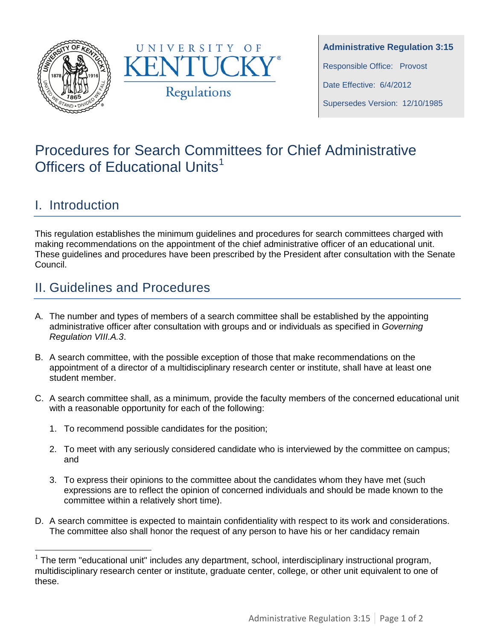



**Administrative Regulation 3:15** Responsible Office: Provost Date Effective: 6/4/2012 Supersedes Version: 12/10/1985

# Procedures for Search Committees for Chief Administrative Officers of Educational Units<sup>[1](#page-0-0)</sup>

## I. Introduction

This regulation establishes the minimum guidelines and procedures for search committees charged with making recommendations on the appointment of the chief administrative officer of an educational unit. These guidelines and procedures have been prescribed by the President after consultation with the Senate Council.

# II. Guidelines and Procedures

- A. The number and types of members of a search committee shall be established by the appointing administrative officer after consultation with groups and or individuals as specified in *Governing Regulation VIII.A.3*.
- B. A search committee, with the possible exception of those that make recommendations on the appointment of a director of a multidisciplinary research center or institute, shall have at least one student member.
- C. A search committee shall, as a minimum, provide the faculty members of the concerned educational unit with a reasonable opportunity for each of the following:
	- 1. To recommend possible candidates for the position;
	- 2. To meet with any seriously considered candidate who is interviewed by the committee on campus; and
	- 3. To express their opinions to the committee about the candidates whom they have met (such expressions are to reflect the opinion of concerned individuals and should be made known to the committee within a relatively short time).
- D. A search committee is expected to maintain confidentiality with respect to its work and considerations. The committee also shall honor the request of any person to have his or her candidacy remain

<span id="page-0-0"></span> $1$  The term "educational unit" includes any department, school, interdisciplinary instructional program, multidisciplinary research center or institute, graduate center, college, or other unit equivalent to one of these.